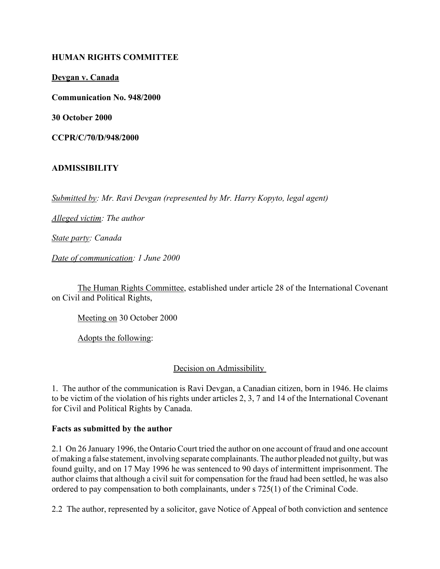### **HUMAN RIGHTS COMMITTEE**

**Devgan v. Canada**

**Communication No. 948/2000**

**30 October 2000**

**CCPR/C/70/D/948/2000** 

# **ADMISSIBILITY**

*Submitted by: Mr. Ravi Devgan (represented by Mr. Harry Kopyto, legal agent)* 

*Alleged victim: The author* 

*State party: Canada* 

*Date of communication: 1 June 2000* 

The Human Rights Committee, established under article 28 of the International Covenant on Civil and Political Rights,

Meeting on 30 October 2000

Adopts the following:

Decision on Admissibility

1. The author of the communication is Ravi Devgan, a Canadian citizen, born in 1946. He claims to be victim of the violation of his rights under articles 2, 3, 7 and 14 of the International Covenant for Civil and Political Rights by Canada.

### **Facts as submitted by the author**

2.1 On 26 January 1996, the Ontario Court tried the author on one account of fraud and one account of making a false statement, involving separate complainants. The author pleaded not guilty, but was found guilty, and on 17 May 1996 he was sentenced to 90 days of intermittent imprisonment. The author claims that although a civil suit for compensation for the fraud had been settled, he was also ordered to pay compensation to both complainants, under s 725(1) of the Criminal Code.

2.2 The author, represented by a solicitor, gave Notice of Appeal of both conviction and sentence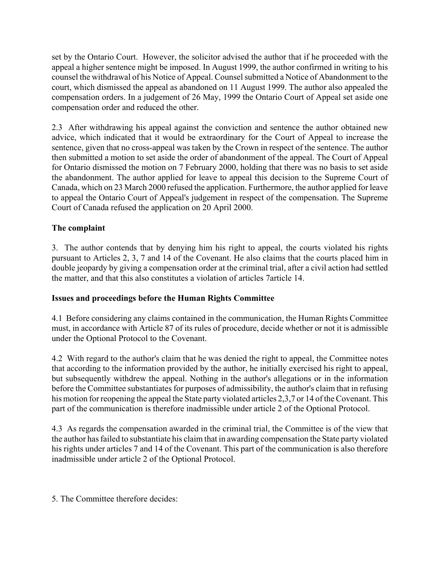set by the Ontario Court. However, the solicitor advised the author that if he proceeded with the appeal a higher sentence might be imposed. In August 1999, the author confirmed in writing to his counsel the withdrawal of his Notice of Appeal. Counsel submitted a Notice of Abandonment to the court, which dismissed the appeal as abandoned on 11 August 1999. The author also appealed the compensation orders. In a judgement of 26 May, 1999 the Ontario Court of Appeal set aside one compensation order and reduced the other.

2.3 After withdrawing his appeal against the conviction and sentence the author obtained new advice, which indicated that it would be extraordinary for the Court of Appeal to increase the sentence, given that no cross-appeal was taken by the Crown in respect of the sentence. The author then submitted a motion to set aside the order of abandonment of the appeal. The Court of Appeal for Ontario dismissed the motion on 7 February 2000, holding that there was no basis to set aside the abandonment. The author applied for leave to appeal this decision to the Supreme Court of Canada, which on 23 March 2000 refused the application. Furthermore, the author applied for leave to appeal the Ontario Court of Appeal's judgement in respect of the compensation. The Supreme Court of Canada refused the application on 20 April 2000.

# **The complaint**

3. The author contends that by denying him his right to appeal, the courts violated his rights pursuant to Articles 2, 3, 7 and 14 of the Covenant. He also claims that the courts placed him in double jeopardy by giving a compensation order at the criminal trial, after a civil action had settled the matter, and that this also constitutes a violation of articles 7article 14.

# **Issues and proceedings before the Human Rights Committee**

4.1 Before considering any claims contained in the communication, the Human Rights Committee must, in accordance with Article 87 of its rules of procedure, decide whether or not it is admissible under the Optional Protocol to the Covenant.

4.2 With regard to the author's claim that he was denied the right to appeal, the Committee notes that according to the information provided by the author, he initially exercised his right to appeal, but subsequently withdrew the appeal. Nothing in the author's allegations or in the information before the Committee substantiates for purposes of admissibility, the author's claim that in refusing his motion for reopening the appeal the State party violated articles 2,3,7 or 14 of the Covenant. This part of the communication is therefore inadmissible under article 2 of the Optional Protocol.

4.3 As regards the compensation awarded in the criminal trial, the Committee is of the view that the author has failed to substantiate his claim that in awarding compensation the State party violated his rights under articles 7 and 14 of the Covenant. This part of the communication is also therefore inadmissible under article 2 of the Optional Protocol.

5. The Committee therefore decides: